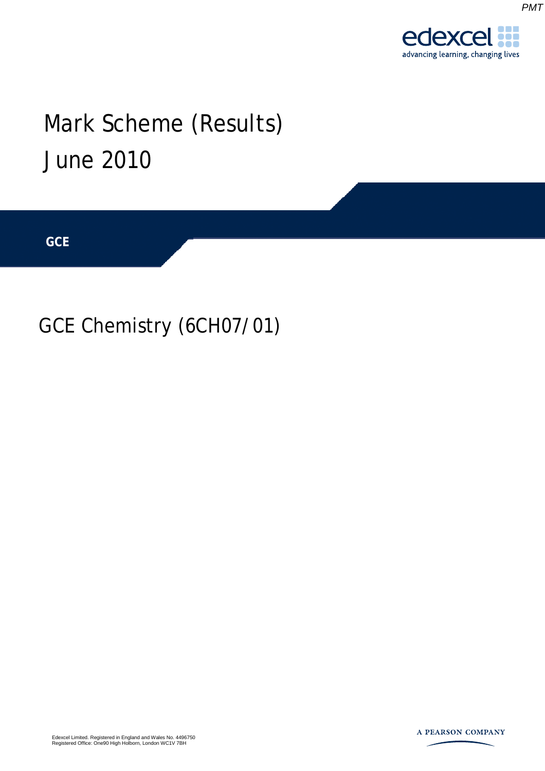

*PMT*

## Mark Scheme (Results) June 2010

**GCE** 

## GCE Chemistry (6CH07/01)

Edexcel Limited. Registered in England and Wales No. 4496750 Registered Office: One90 High Holborn, London WC1V 7BH

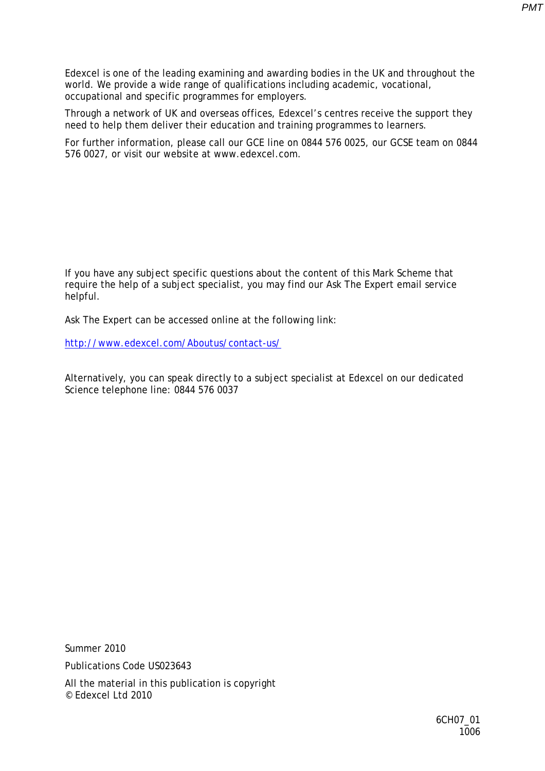Edexcel is one of the leading examining and awarding bodies in the UK and throughout the world. We provide a wide range of qualifications including academic, vocational, occupational and specific programmes for employers.

Through a network of UK and overseas offices, Edexcel's centres receive the support they need to help them deliver their education and training programmes to learners.

For further information, please call our GCE line on 0844 576 0025, our GCSE team on 0844 576 0027, or visit our website at www.edexcel.com.

If you have any subject specific questions about the content of this Mark Scheme that require the help of a subject specialist, you may find our Ask The Expert email service helpful.

Ask The Expert can be accessed online at the following link:

<http://www.edexcel.com/Aboutus/contact-us/>

Alternatively, you can speak directly to a subject specialist at Edexcel on our dedicated Science telephone line: 0844 576 0037

Summer 2010 Publications Code US023643

All the material in this publication is copyright © Edexcel Ltd 2010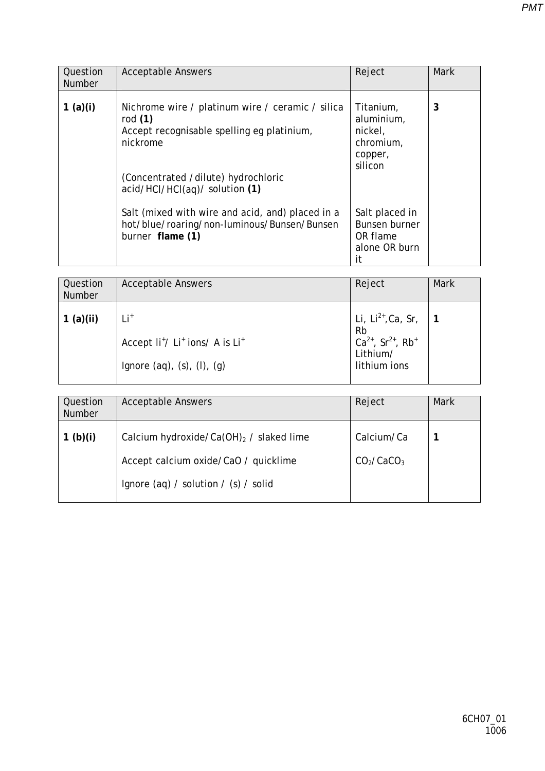| Question<br><b>Number</b> | <b>Acceptable Answers</b>                                                                                                                                                                        | Reject                                                                    | <b>Mark</b> |
|---------------------------|--------------------------------------------------------------------------------------------------------------------------------------------------------------------------------------------------|---------------------------------------------------------------------------|-------------|
| 1 $(a)(i)$                | Nichrome wire / platinum wire / ceramic / silica<br>rod $(1)$<br>Accept recognisable spelling eg platinium,<br>nickrome<br>(Concentrated /dilute) hydrochloric<br>acid/HCl/HCl(aq)/ solution (1) | Titanium,<br>aluminium,<br>nickel,<br>chromium,<br>copper,<br>silicon     | 3           |
|                           | Salt (mixed with wire and acid, and) placed in a<br>hot/blue/roaring/non-luminous/Bunsen/Bunsen<br>burner flame (1)                                                                              | Salt placed in<br><b>Bunsen burner</b><br>OR flame<br>alone OR burn<br>it |             |

| Question<br><b>Number</b> | <b>Acceptable Answers</b>                                                                                             | Reject                                                                                                             | <b>Mark</b> |
|---------------------------|-----------------------------------------------------------------------------------------------------------------------|--------------------------------------------------------------------------------------------------------------------|-------------|
| 1(a)(ii)                  | $Li+$<br>Accept Ii <sup>+</sup> / Li <sup>+</sup> ions/ A is Li <sup>+</sup><br>Ignore $(aq)$ , $(s)$ , $(l)$ , $(g)$ | Li, $Li^{2+}$ , Ca, Sr,<br><b>Rb</b><br>$Ca^{2+}$ , Sr <sup>2+</sup> , Rb <sup>+</sup><br>Lithium/<br>lithium ions |             |

| Question<br>Number | <b>Acceptable Answers</b>                   | Reject                             | <b>Mark</b> |
|--------------------|---------------------------------------------|------------------------------------|-------------|
| 1 $(b)(i)$         | Calcium hydroxide/Ca(OH) $_2$ / slaked lime | Calcium/Ca                         |             |
|                    | Accept calcium oxide/CaO / quicklime        | CO <sub>2</sub> /CaCO <sub>3</sub> |             |
|                    | Ignore (aq) / solution / (s) / solid        |                                    |             |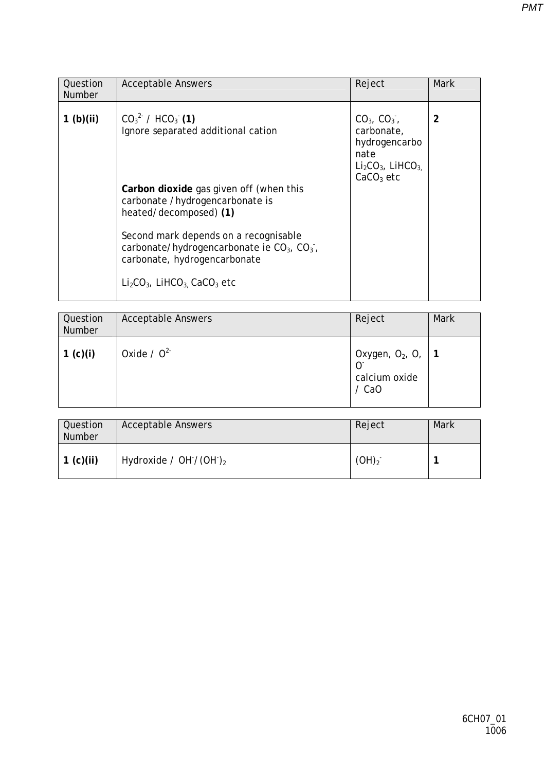| Question<br><b>Number</b> | <b>Acceptable Answers</b>                                                                                                                                                                                                                                                                                                                                     | Reject                                                                                                        | <b>Mark</b> |
|---------------------------|---------------------------------------------------------------------------------------------------------------------------------------------------------------------------------------------------------------------------------------------------------------------------------------------------------------------------------------------------------------|---------------------------------------------------------------------------------------------------------------|-------------|
| 1 <sub>(b)(ii)</sub>      | $CO32$ / HCO <sub>3</sub> (1)<br>Ignore separated additional cation<br>Carbon dioxide gas given off (when this<br>carbonate /hydrogencarbonate is<br>heated/decomposed) (1)<br>Second mark depends on a recognisable<br>carbonate/hydrogencarbonate ie $CO3$ , $CO3$ ,<br>carbonate, hydrogencarbonate<br>$Li2CO3$ , LiHCO <sub>3</sub> CaCO <sub>3</sub> etc | $CO_{31}$ , $CO_{31}$<br>carbonate,<br>hydrogencarbo<br>nate<br>$Li2CO3$ , LiHCO <sub>3.</sub><br>$CaCO3$ etc | 2           |

| Question<br>Number | <b>Acceptable Answers</b> | Reject                                                                        | <b>Mark</b> |
|--------------------|---------------------------|-------------------------------------------------------------------------------|-------------|
| 1 $(c)(i)$         | Oxide / $0^{2}$           | $\vert$ Oxygen, O <sub>2</sub> , O <sub>1</sub> 1<br>calcium oxide<br>$/$ CaO |             |

| Question<br>Number | <b>Acceptable Answers</b>  | Reject     | Mark |
|--------------------|----------------------------|------------|------|
| 1 (c)(ii)          | Hydroxide / OH $/(OH)_{2}$ | $(OH)_2^-$ |      |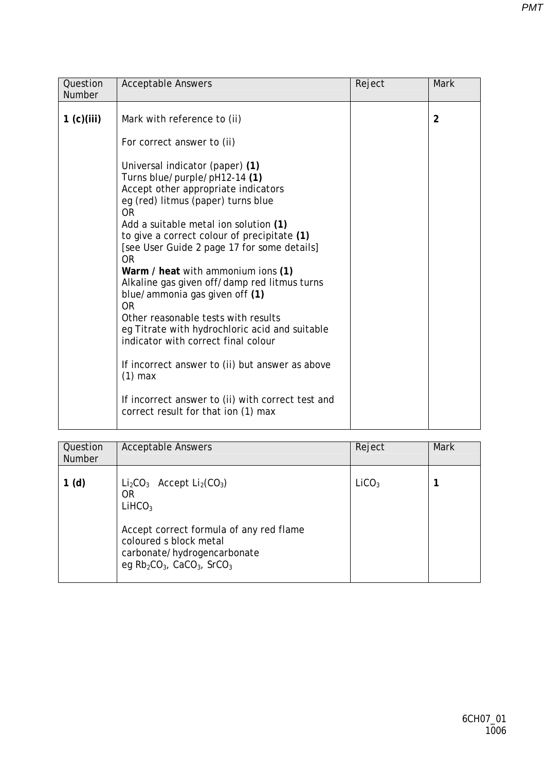| Question                    | <b>Acceptable Answers</b>                                                                                                                                                                                                                                                                                                                                                                                                                                                                                                                                                                                                                                                                                                                                             | Reject | <b>Mark</b>    |
|-----------------------------|-----------------------------------------------------------------------------------------------------------------------------------------------------------------------------------------------------------------------------------------------------------------------------------------------------------------------------------------------------------------------------------------------------------------------------------------------------------------------------------------------------------------------------------------------------------------------------------------------------------------------------------------------------------------------------------------------------------------------------------------------------------------------|--------|----------------|
| <b>Number</b><br>1 (c)(iii) | Mark with reference to (ii)<br>For correct answer to (ii)<br>Universal indicator (paper) (1)<br>Turns blue/purple/pH12-14 (1)<br>Accept other appropriate indicators<br>eg (red) litmus (paper) turns blue<br><b>OR</b><br>Add a suitable metal ion solution (1)<br>to give a correct colour of precipitate (1)<br>[see User Guide 2 page 17 for some details]<br><b>OR</b><br>Warm / heat with ammonium ions (1)<br>Alkaline gas given off/damp red litmus turns<br>blue/ammonia gas given off (1)<br><b>OR</b><br>Other reasonable tests with results<br>eg Titrate with hydrochloric acid and suitable<br>indicator with correct final colour<br>If incorrect answer to (ii) but answer as above<br>$(1)$ max<br>If incorrect answer to (ii) with correct test and |        | $\overline{2}$ |
|                             | correct result for that ion (1) max                                                                                                                                                                                                                                                                                                                                                                                                                                                                                                                                                                                                                                                                                                                                   |        |                |

| Question<br><b>Number</b> | <b>Acceptable Answers</b>                                                                                                                                                                                                                    | Reject            | <b>Mark</b> |
|---------------------------|----------------------------------------------------------------------------------------------------------------------------------------------------------------------------------------------------------------------------------------------|-------------------|-------------|
| 1(d)                      | $Li_2CO_3$ Accept $Li_2(CO_3)$<br>0R<br>LiHCO <sub>3</sub><br>Accept correct formula of any red flame<br>coloured s block metal<br>carbonate/hydrogencarbonate<br>eg Rb <sub>2</sub> CO <sub>3</sub> , CaCO <sub>3</sub> , SrCO <sub>3</sub> | LiCO <sub>3</sub> |             |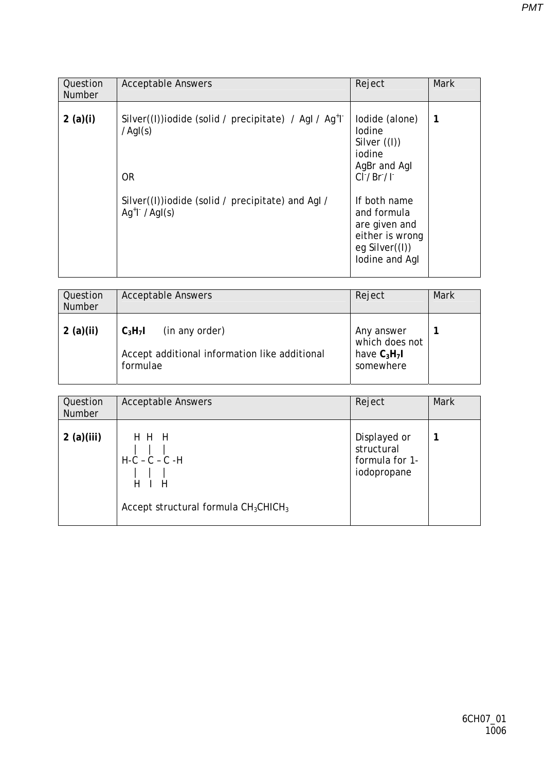| Question<br><b>Number</b> | <b>Acceptable Answers</b>                                                                                                                                                      | Reject                                                                                                                                                                                        | <b>Mark</b> |
|---------------------------|--------------------------------------------------------------------------------------------------------------------------------------------------------------------------------|-----------------------------------------------------------------------------------------------------------------------------------------------------------------------------------------------|-------------|
| 2(a)(i)                   | Silver((I))iodide (solid / precipitate) / Agl / Ag <sup>+</sup> l<br>$/$ AgI(s)<br><b>OR</b><br>Silver((I))iodide (solid / precipitate) and AgI /<br>$Aq^{\dagger}$ / $Aql(s)$ | lodide (alone)<br>lodine<br>Silver $($ (I))<br>iodine<br>AgBr and AgI<br>CI'/Br'/I'<br>If both name<br>and formula<br>are given and<br>either is wrong<br>eg Silver $((I))$<br>lodine and Agl | 1           |

| Question<br><b>Number</b> | <b>Acceptable Answers</b>                                                                | Reject                                                      | <b>Mark</b> |
|---------------------------|------------------------------------------------------------------------------------------|-------------------------------------------------------------|-------------|
| 2(a)(ii)                  | $C_3H_7I$<br>(in any order)<br>Accept additional information like additional<br>formulae | Any answer<br>which does not<br>have $C_3H_7I$<br>somewhere |             |

| Question<br><b>Number</b> | <b>Acceptable Answers</b>                                                 | Reject                                                      | Mark |
|---------------------------|---------------------------------------------------------------------------|-------------------------------------------------------------|------|
| 2(a)(iii)                 | H H H<br>$H-C-C-C-H$<br>H<br>- H<br>Accept structural formula $CH3CHICH3$ | Displayed or<br>structural<br>formula for 1-<br>iodopropane |      |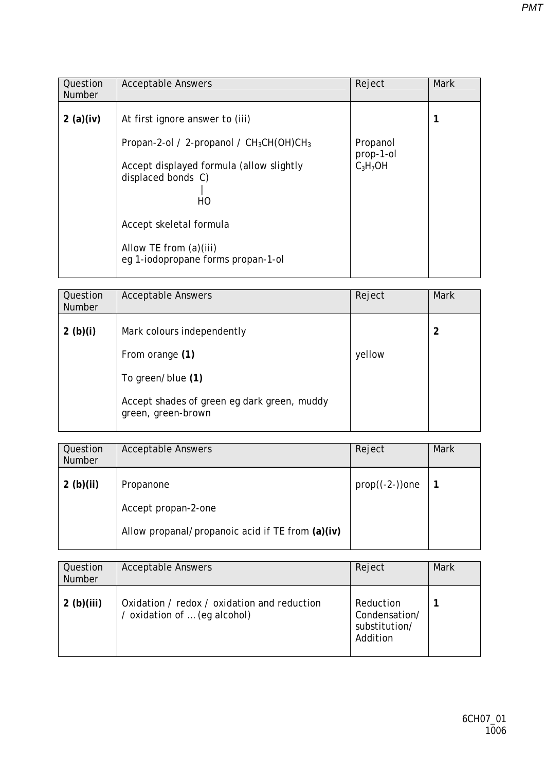| Question<br><b>Number</b> | <b>Acceptable Answers</b>                                                                                                                                                                                                                         | Reject                              | <b>Mark</b> |
|---------------------------|---------------------------------------------------------------------------------------------------------------------------------------------------------------------------------------------------------------------------------------------------|-------------------------------------|-------------|
| 2(a)(iv)                  | At first ignore answer to (iii)<br>Propan-2-ol / 2-propanol / $CH_3CH(OH)CH_3$<br>Accept displayed formula (allow slightly<br>displaced bonds C)<br>HO<br>Accept skeletal formula<br>Allow TE from (a)(iii)<br>eg 1-iodopropane forms propan-1-ol | Propanol<br>prop-1-ol<br>$C_3H_7OH$ |             |

| Question<br><b>Number</b> | <b>Acceptable Answers</b>                                         | Reject | <b>Mark</b> |
|---------------------------|-------------------------------------------------------------------|--------|-------------|
| 2 $(b)(i)$                | Mark colours independently                                        |        | 2           |
|                           | From orange (1)                                                   | yellow |             |
|                           | To green/blue (1)                                                 |        |             |
|                           | Accept shades of green eg dark green, muddy<br>green, green-brown |        |             |

| Question<br><b>Number</b> | <b>Acceptable Answers</b>                        | Reject             | <b>Mark</b> |
|---------------------------|--------------------------------------------------|--------------------|-------------|
| 2 $(b)(ii)$               | Propanone                                        | $prop((-2-)$ ) one |             |
|                           | Accept propan-2-one                              |                    |             |
|                           | Allow propanal/propanoic acid if TE from (a)(iv) |                    |             |

| Question<br><b>Number</b> | <b>Acceptable Answers</b>                                                   | Reject                                                  | <b>Mark</b> |
|---------------------------|-----------------------------------------------------------------------------|---------------------------------------------------------|-------------|
| 2(b)(iii)                 | Oxidation / redox / oxidation and reduction<br>/ oxidation of  (eg alcohol) | Reduction<br>Condensation/<br>substitution/<br>Addition |             |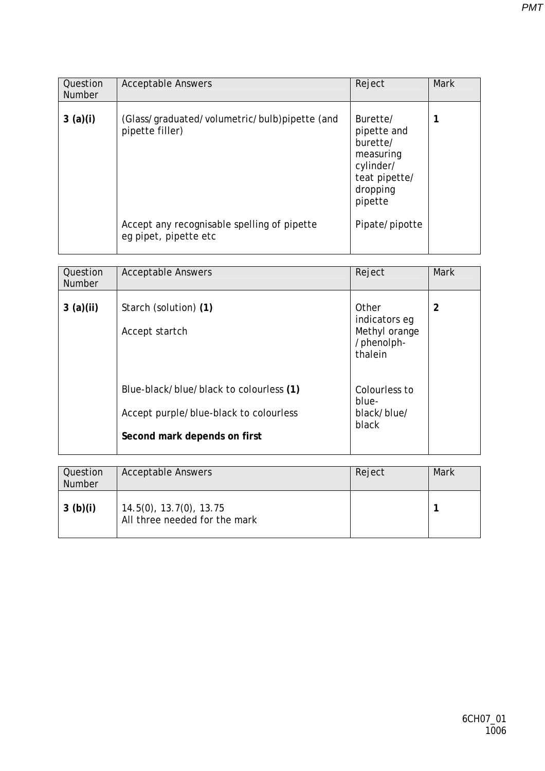| Question<br><b>Number</b> | <b>Acceptable Answers</b>                                            | Reject                                                                                                | <b>Mark</b> |
|---------------------------|----------------------------------------------------------------------|-------------------------------------------------------------------------------------------------------|-------------|
| 3(a)(i)                   | (Glass/graduated/volumetric/bulb)pipette (and<br>pipette filler)     | Burette/<br>pipette and<br>burette/<br>measuring<br>cylinder/<br>teat pipette/<br>dropping<br>pipette |             |
|                           | Accept any recognisable spelling of pipette<br>eg pipet, pipette etc | Pipate/pipotte                                                                                        |             |

| Question<br><b>Number</b> | <b>Acceptable Answers</b>                                              | Reject                                                           | <b>Mark</b> |
|---------------------------|------------------------------------------------------------------------|------------------------------------------------------------------|-------------|
| 3(a)(ii)                  | Starch (solution) (1)<br>Accept startch                                | Other<br>indicators eg<br>Methyl orange<br>/phenolph-<br>thalein | 2           |
|                           | Blue-black/blue/black to colourless (1)                                | Colourless to<br>blue-                                           |             |
|                           | Accept purple/blue-black to colourless<br>Second mark depends on first | black/blue/<br>black                                             |             |

| Question<br><b>Number</b> | <b>Acceptable Answers</b>                                        | Reject | <b>Mark</b> |
|---------------------------|------------------------------------------------------------------|--------|-------------|
| 3(b)(i)                   | $14.5(0)$ , $13.7(0)$ , $13.75$<br>All three needed for the mark |        |             |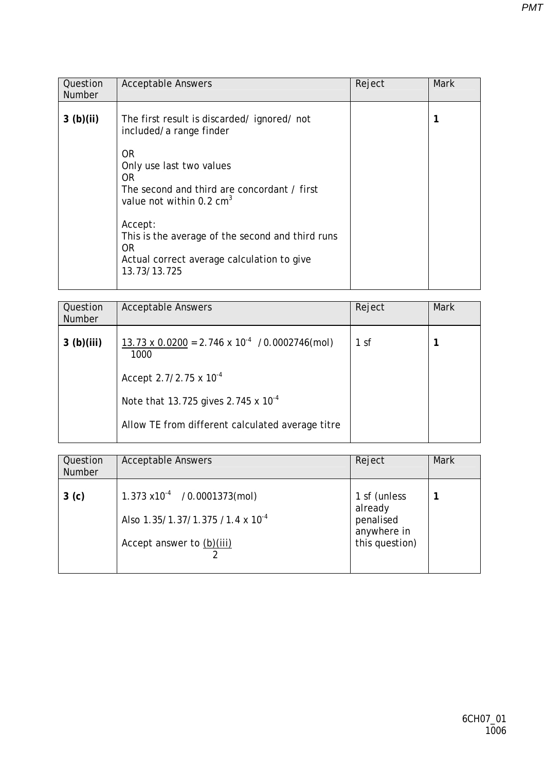| Question<br><b>Number</b> | <b>Acceptable Answers</b>                                                                                                        | Reject | <b>Mark</b> |
|---------------------------|----------------------------------------------------------------------------------------------------------------------------------|--------|-------------|
| 3(b)(ii)                  | The first result is discarded/ignored/not<br>included/a range finder                                                             |        |             |
|                           | 0R<br>Only use last two values<br>OR.<br>The second and third are concordant / first<br>value not within $0.2 \text{ cm}^3$      |        |             |
|                           | Accept:<br>This is the average of the second and third runs<br>OR.<br>Actual correct average calculation to give<br>13.73/13.725 |        |             |

| Question<br><b>Number</b> | <b>Acceptable Answers</b>                                  | Reject          | Mark |
|---------------------------|------------------------------------------------------------|-----------------|------|
| 3(b)(iii)                 | 13.73 x 0.0200 = 2.746 x $10^{-4}$ /0.0002746(mol)<br>1000 | 1 <sub>sf</sub> |      |
|                           | Accept 2.7/2.75 x $10^{-4}$                                |                 |      |
|                           | Note that 13.725 gives 2.745 x $10^{-4}$                   |                 |      |
|                           | Allow TE from different calculated average titre           |                 |      |

| Question<br><b>Number</b> | <b>Acceptable Answers</b>                    | Reject                   | <b>Mark</b> |
|---------------------------|----------------------------------------------|--------------------------|-------------|
| 3 <sub>(c)</sub>          | $1.373 \times 10^{-4}$ /0.0001373(mol)       | 1 sf (unless<br>already  |             |
|                           | Also 1.35/1.37/1.375 /1.4 x 10 <sup>-4</sup> | penalised<br>anywhere in |             |
|                           | Accept answer to (b)(iii)                    | this question)           |             |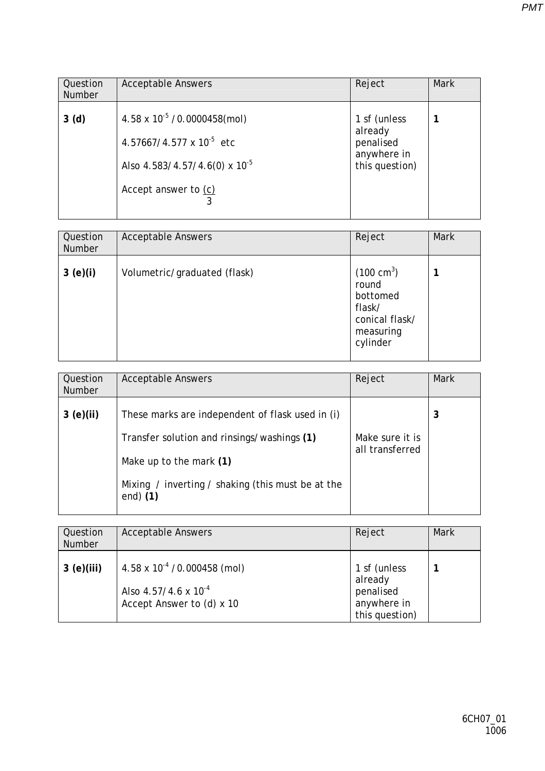| Question<br><b>Number</b> | <b>Acceptable Answers</b>                                                                                                                      | Reject                                                                | <b>Mark</b> |
|---------------------------|------------------------------------------------------------------------------------------------------------------------------------------------|-----------------------------------------------------------------------|-------------|
| 3 <sub>(d)</sub>          | $4.58 \times 10^{-5}$ /0.0000458(mol)<br>$4.57667/4.577 \times 10^{-5}$ etc<br>Also $4.583/4.57/4.6(0) \times 10^{-5}$<br>Accept answer to (c) | 1 sf (unless<br>already<br>penalised<br>anywhere in<br>this question) |             |

| Question<br><b>Number</b> | <b>Acceptable Answers</b>    | Reject                                                                                         | <b>Mark</b> |
|---------------------------|------------------------------|------------------------------------------------------------------------------------------------|-------------|
| 3(e)(i)                   | Volumetric/graduated (flask) | $(100 \text{ cm}^3)$<br>round<br>bottomed<br>flask/<br>conical flask/<br>measuring<br>cylinder |             |

| Question<br><b>Number</b> | <b>Acceptable Answers</b>                                                                                                                                                                    | Reject                             | <b>Mark</b> |
|---------------------------|----------------------------------------------------------------------------------------------------------------------------------------------------------------------------------------------|------------------------------------|-------------|
| 3(e)(ii)                  | These marks are independent of flask used in (i)<br>Transfer solution and rinsings/washings (1)<br>Make up to the mark (1)<br>Mixing / inverting / shaking (this must be at the<br>end $(1)$ | Make sure it is<br>all transferred | 3           |

| Question<br>Number | <b>Acceptable Answers</b>                                                                            | Reject                                                                | <b>Mark</b> |
|--------------------|------------------------------------------------------------------------------------------------------|-----------------------------------------------------------------------|-------------|
| 3(e)(iii)          | $4.58 \times 10^{-4}$ /0.000458 (mol)<br>Also $4.57/4.6 \times 10^{-4}$<br>Accept Answer to (d) x 10 | 1 sf (unless<br>already<br>penalised<br>anywhere in<br>this question) |             |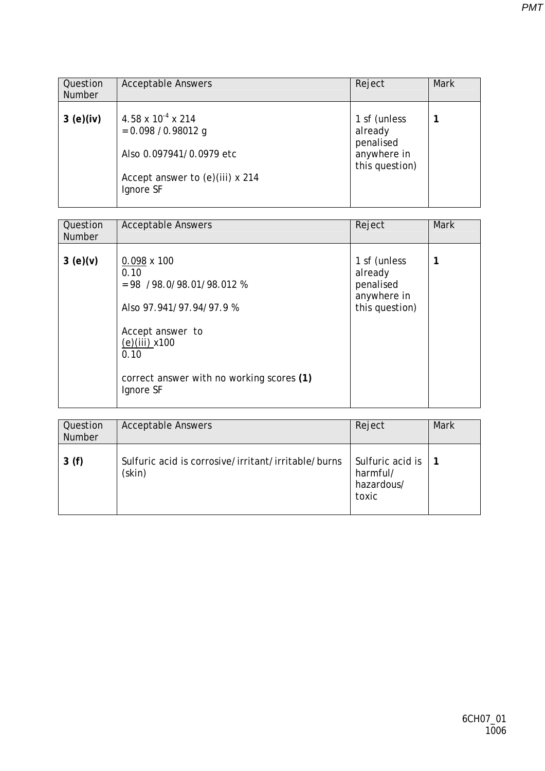| Question<br><b>Number</b> | <b>Acceptable Answers</b>                                                                                                   | Reject                                                                | <b>Mark</b> |
|---------------------------|-----------------------------------------------------------------------------------------------------------------------------|-----------------------------------------------------------------------|-------------|
| 3(e)(iv)                  | 4.58 x $10^{-4}$ x 214<br>$= 0.098 / 0.98012$ g<br>Also 0.097941/0.0979 etc<br>Accept answer to (e)(iii) x 214<br>Ignore SF | 1 sf (unless<br>already<br>penalised<br>anywhere in<br>this question) |             |

| Question<br><b>Number</b> | <b>Acceptable Answers</b>                                                                                                                                                                      | Reject                                                                | <b>Mark</b> |
|---------------------------|------------------------------------------------------------------------------------------------------------------------------------------------------------------------------------------------|-----------------------------------------------------------------------|-------------|
| 3(e)(v)                   | $0.098 \times 100$<br>0.10<br>$= 98$ /98.0/98.01/98.012 %<br>Also 97.941/97.94/97.9 %<br>Accept answer to<br>$(e)(iii)$ x100<br>0.10<br>correct answer with no working scores (1)<br>Ignore SF | 1 sf (unless<br>already<br>penalised<br>anywhere in<br>this question) |             |

| Question<br><b>Number</b> | <b>Acceptable Answers</b>                                     | Reject                                              | Mark |
|---------------------------|---------------------------------------------------------------|-----------------------------------------------------|------|
| 3(f)                      | Sulfuric acid is corrosive/irritant/irritable/burns<br>(skin) | Sulfuric acid is<br>harmful/<br>hazardous/<br>toxic |      |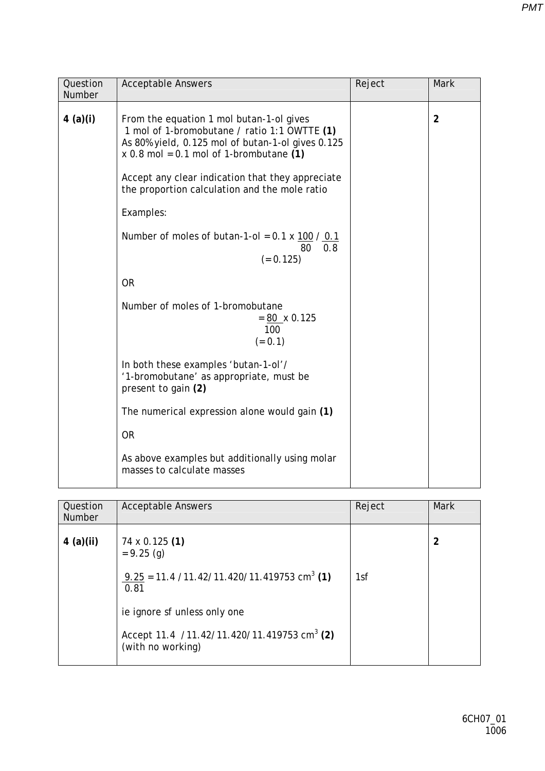| Question<br>Number | <b>Acceptable Answers</b>                                                                                                                                                                  | Reject | Mark           |
|--------------------|--------------------------------------------------------------------------------------------------------------------------------------------------------------------------------------------|--------|----------------|
| 4(a)(i)            | From the equation 1 mol butan-1-ol gives<br>1 mol of 1-bromobutane / ratio 1:1 OWTTE (1)<br>As 80% yield, 0.125 mol of butan-1-ol gives 0.125<br>$x$ 0.8 mol = 0.1 mol of 1-brombutane (1) |        | $\overline{2}$ |
|                    | Accept any clear indication that they appreciate<br>the proportion calculation and the mole ratio                                                                                          |        |                |
|                    | Examples:                                                                                                                                                                                  |        |                |
|                    | Number of moles of butan-1-ol = $0.1 \times 100 / 0.1$<br>80<br>0.8<br>$(= 0.125)$                                                                                                         |        |                |
|                    | <b>OR</b>                                                                                                                                                                                  |        |                |
|                    | Number of moles of 1-bromobutane<br>$= 80 \times 0.125$<br>100<br>$(= 0.1)$                                                                                                                |        |                |
|                    | In both these examples 'butan-1-ol'/<br>'1-bromobutane' as appropriate, must be<br>present to gain (2)                                                                                     |        |                |
|                    | The numerical expression alone would gain (1)                                                                                                                                              |        |                |
|                    | <b>OR</b>                                                                                                                                                                                  |        |                |
|                    | As above examples but additionally using molar<br>masses to calculate masses                                                                                                               |        |                |

| Question<br><b>Number</b> | <b>Acceptable Answers</b>                                                    | Reject | <b>Mark</b> |
|---------------------------|------------------------------------------------------------------------------|--------|-------------|
| $4$ (a)(ii)               | 74 x 0.125 (1)<br>$= 9.25$ (g)                                               |        | 2           |
|                           | $9.25 = 11.4 / 11.42 / 11.420 / 11.419753$ cm <sup>3</sup> (1)<br>0.81       | 1sf    |             |
|                           | ie ignore sf unless only one                                                 |        |             |
|                           | Accept 11.4 /11.42/11.420/11.419753 cm <sup>3</sup> (2)<br>(with no working) |        |             |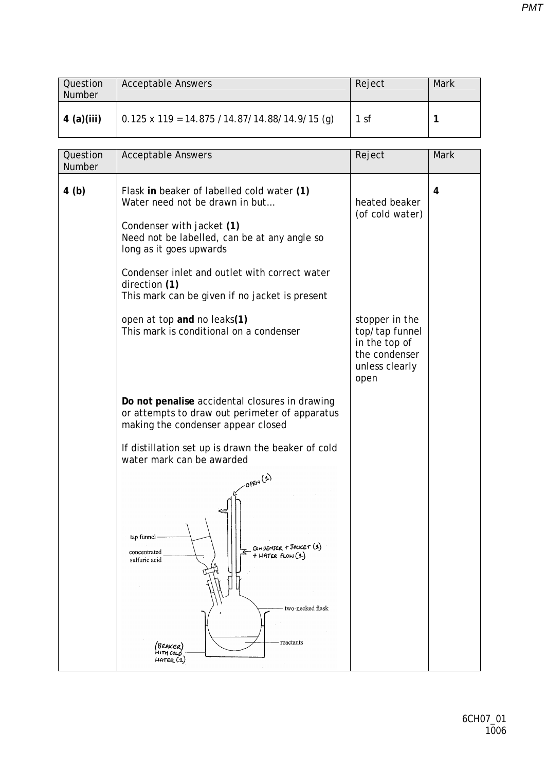| Question<br><b>Number</b> | <b>Acceptable Answers</b>                       | Reject | Mark |
|---------------------------|-------------------------------------------------|--------|------|
| $4$ (a)(iii)              | $0.125$ x 119 = 14.875 /14.87/14.88/14.9/15 (a) | 1 sf   |      |

| Question<br>Number | <b>Acceptable Answers</b>                                                                                                                                                                                                                                                                                | Reject                                                                                       | Mark |
|--------------------|----------------------------------------------------------------------------------------------------------------------------------------------------------------------------------------------------------------------------------------------------------------------------------------------------------|----------------------------------------------------------------------------------------------|------|
| 4(b)               | Flask in beaker of labelled cold water (1)<br>Water need not be drawn in but<br>Condenser with jacket (1)<br>Need not be labelled, can be at any angle so<br>long as it goes upwards<br>Condenser inlet and outlet with correct water<br>direction (1)<br>This mark can be given if no jacket is present | heated beaker<br>(of cold water)                                                             | 4    |
|                    | open at top and no leaks(1)<br>This mark is conditional on a condenser                                                                                                                                                                                                                                   | stopper in the<br>top/tap funnel<br>in the top of<br>the condenser<br>unless clearly<br>open |      |
|                    | Do not penalise accidental closures in drawing<br>or attempts to draw out perimeter of apparatus<br>making the condenser appear closed                                                                                                                                                                   |                                                                                              |      |
|                    | If distillation set up is drawn the beaker of cold<br>water mark can be awarded                                                                                                                                                                                                                          |                                                                                              |      |
|                    | $-OPER(1)$<br>tap funnel<br>- CONDENSER + JACKET (1)<br>- + HATER FLOW (1)<br>concentrated<br>sulfuric acid<br>two-necked flask<br>reactants<br>(BEAKER)<br>HITH COLL<br>HATER (1)                                                                                                                       |                                                                                              |      |

*PMT*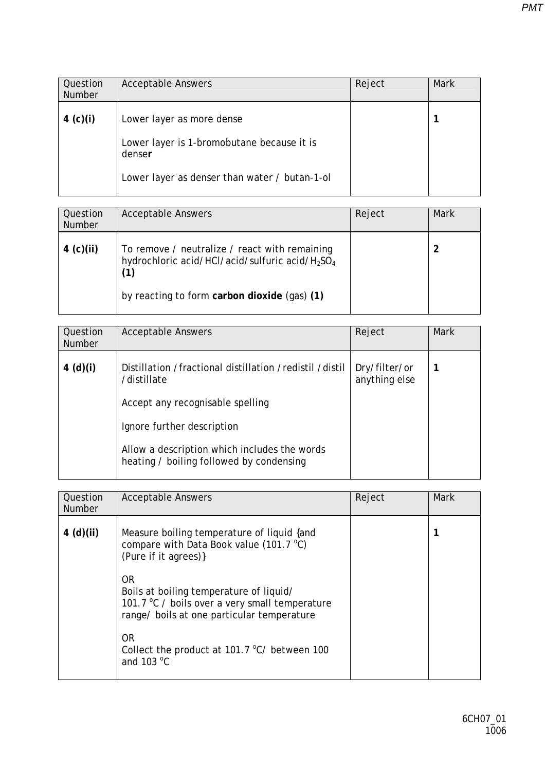| Question<br><b>Number</b> | <b>Acceptable Answers</b>                            | Reject | <b>Mark</b> |
|---------------------------|------------------------------------------------------|--------|-------------|
| 4 (c)(i)                  | Lower layer as more dense                            |        |             |
|                           | Lower layer is 1-bromobutane because it is<br>denser |        |             |
|                           | Lower layer as denser than water / butan-1-ol        |        |             |

| Question<br>Number | <b>Acceptable Answers</b>                                                                                                       | Reject | Mark |
|--------------------|---------------------------------------------------------------------------------------------------------------------------------|--------|------|
| 4 (c)(ii)          | To remove / neutralize / react with remaining<br>hydrochloric acid/HCl/acid/sulfuric acid/H <sub>2</sub> SO <sub>4</sub><br>(1) |        |      |
|                    | by reacting to form carbon dioxide (gas) (1)                                                                                    |        |      |

| Question<br><b>Number</b> | <b>Acceptable Answers</b>                                                                | Reject                         | Mark |
|---------------------------|------------------------------------------------------------------------------------------|--------------------------------|------|
| 4 (d)(i)                  | Distillation /fractional distillation /redistil /distil<br>/distillate                   | Dry/filter/or<br>anything else |      |
|                           | Accept any recognisable spelling                                                         |                                |      |
|                           | Ignore further description                                                               |                                |      |
|                           | Allow a description which includes the words<br>heating / boiling followed by condensing |                                |      |

| Question<br><b>Number</b> | <b>Acceptable Answers</b>                                                                                                                                                                                                                                                                                                                          | Reject | Mark |
|---------------------------|----------------------------------------------------------------------------------------------------------------------------------------------------------------------------------------------------------------------------------------------------------------------------------------------------------------------------------------------------|--------|------|
| 4(d)(ii)                  | Measure boiling temperature of liquid {and<br>compare with Data Book value (101.7 °C)<br>(Pure if it agrees)}<br>0R<br>Boils at boiling temperature of liquid/<br>101.7 °C / boils over a very small temperature<br>range/ boils at one particular temperature<br><b>OR</b><br>Collect the product at 101.7 °C/ between 100<br>and $103^{\circ}$ C |        |      |
|                           |                                                                                                                                                                                                                                                                                                                                                    |        |      |